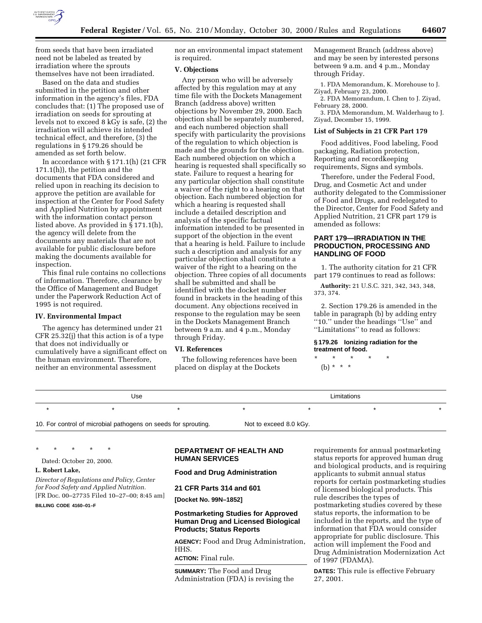

from seeds that have been irradiated need not be labeled as treated by irradiation where the sprouts themselves have not been irradiated.

Based on the data and studies submitted in the petition and other information in the agency's files, FDA concludes that: (1) The proposed use of irradiation on seeds for sprouting at levels not to exceed 8 kGy is safe, (2) the irradiation will achieve its intended technical effect, and therefore, (3) the regulations in § 179.26 should be amended as set forth below.

In accordance with § 171.1(h) (21 CFR 171.1(h)), the petition and the documents that FDA considered and relied upon in reaching its decision to approve the petition are available for inspection at the Center for Food Safety and Applied Nutrition by appointment with the information contact person listed above. As provided in § 171.1(h), the agency will delete from the documents any materials that are not available for public disclosure before making the documents available for inspection.

This final rule contains no collections of information. Therefore, clearance by the Office of Management and Budget under the Paperwork Reduction Act of 1995 is not required.

#### **IV. Environmental Impact**

The agency has determined under 21 CFR 25.32(j) that this action is of a type that does not individually or cumulatively have a significant effect on the human environment. Therefore, neither an environmental assessment

nor an environmental impact statement is required.

#### **V. Objections**

Any person who will be adversely affected by this regulation may at any time file with the Dockets Management Branch (address above) written objections by November 29, 2000. Each objection shall be separately numbered, and each numbered objection shall specify with particularity the provisions of the regulation to which objection is made and the grounds for the objection. Each numbered objection on which a hearing is requested shall specifically so state. Failure to request a hearing for any particular objection shall constitute a waiver of the right to a hearing on that objection. Each numbered objection for which a hearing is requested shall include a detailed description and analysis of the specific factual information intended to be presented in support of the objection in the event that a hearing is held. Failure to include such a description and analysis for any particular objection shall constitute a waiver of the right to a hearing on the objection. Three copies of all documents shall be submitted and shall be identified with the docket number found in brackets in the heading of this document. Any objections received in response to the regulation may be seen in the Dockets Management Branch between 9 a.m. and 4 p.m., Monday through Friday.

## **VI. References**

The following references have been placed on display at the Dockets

Management Branch (address above) and may be seen by interested persons between 9 a.m. and 4 p.m., Monday through Friday.

1. FDA Memorandum, K. Morehouse to J. Ziyad, February 23, 2000.

2. FDA Memorandum, I. Chen to J. Ziyad, February 28, 2000.

3. FDA Memorandum, M. Walderhaug to J. Ziyad, December 15, 1999.

#### **List of Subjects in 21 CFR Part 179**

Food additives, Food labeling, Food packaging, Radiation protection, Reporting and recordkeeping requirements, Signs and symbols.

Therefore, under the Federal Food, Drug, and Cosmetic Act and under authority delegated to the Commissioner of Food and Drugs, and redelegated to the Director, Center for Food Safety and Applied Nutrition, 21 CFR part 179 is amended as follows:

## **PART 179—IRRADIATION IN THE PRODUCTION, PROCESSING AND HANDLING OF FOOD**

1. The authority citation for 21 CFR part 179 continues to read as follows:

**Authority:** 21 U.S.C. 321, 342, 343, 348, 373, 374.

2. Section 179.26 is amended in the table in paragraph (b) by adding entry ''10.'' under the headings ''Use'' and ''Limitations'' to read as follows:

## **§ 179.26 Ionizing radiation for the treatment of food.**

\* \* \* \* \* (b) \* \* \*

| Use                                                            |  |  | Limitations            |  |  |  |  |
|----------------------------------------------------------------|--|--|------------------------|--|--|--|--|
|                                                                |  |  |                        |  |  |  |  |
| 10. For control of microbial pathogens on seeds for sprouting. |  |  | Not to exceed 8.0 kGy. |  |  |  |  |

\* \* \* \* \*

Dated: October 20, 2000.

## **L. Robert Lake,**

*Director of Regulations and Policy, Center for Food Safety and Applied Nutrition.* [FR Doc. 00–27735 Filed 10–27–00; 8:45 am]

**BILLING CODE 4160–01–F**

## **DEPARTMENT OF HEALTH AND HUMAN SERVICES**

#### **Food and Drug Administration**

#### **21 CFR Parts 314 and 601**

**[Docket No. 99N–1852]**

## **Postmarketing Studies for Approved Human Drug and Licensed Biological Products; Status Reports**

**AGENCY:** Food and Drug Administration, HHS.

**ACTION:** Final rule.

**SUMMARY:** The Food and Drug Administration (FDA) is revising the

requirements for annual postmarketing status reports for approved human drug and biological products, and is requiring applicants to submit annual status reports for certain postmarketing studies of licensed biological products. This rule describes the types of postmarketing studies covered by these status reports, the information to be included in the reports, and the type of information that FDA would consider appropriate for public disclosure. This action will implement the Food and Drug Administration Modernization Act of 1997 (FDAMA).

**DATES:** This rule is effective February 27, 2001.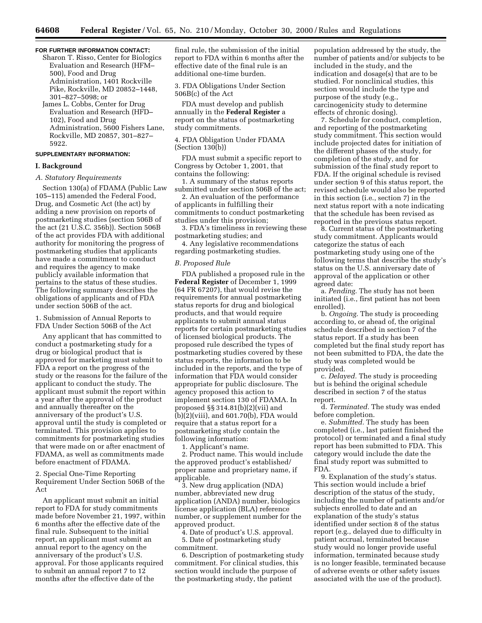#### **FOR FURTHER INFORMATION CONTACT:**

- Sharon T. Risso, Center for Biologics Evaluation and Research (HFM– 500), Food and Drug Administration, 1401 Rockville Pike, Rockville, MD 20852–1448, 301–827–5098; or
- James L. Cobbs, Center for Drug Evaluation and Research (HFD– 102), Food and Drug Administration, 5600 Fishers Lane, Rockville, MD 20857, 301–827– 5922.

## **SUPPLEMENTARY INFORMATION:**

## **I. Background**

### *A. Statutory Requirements*

Section 130(a) of FDAMA (Public Law 105–115) amended the Federal Food, Drug, and Cosmetic Act (the act) by adding a new provision on reports of postmarketing studies (section 506B of the act (21 U.S.C. 356b)). Section 506B of the act provides FDA with additional authority for monitoring the progress of postmarketing studies that applicants have made a commitment to conduct and requires the agency to make publicly available information that pertains to the status of these studies. The following summary describes the obligations of applicants and of FDA under section 506B of the act.

1. Submission of Annual Reports to FDA Under Section 506B of the Act

Any applicant that has committed to conduct a postmarketing study for a drug or biological product that is approved for marketing must submit to FDA a report on the progress of the study or the reasons for the failure of the applicant to conduct the study. The applicant must submit the report within a year after the approval of the product and annually thereafter on the anniversary of the product's U.S. approval until the study is completed or terminated. This provision applies to commitments for postmarketing studies that were made on or after enactment of FDAMA, as well as commitments made before enactment of FDAMA.

2. Special One-Time Reporting Requirement Under Section 506B of the Act

An applicant must submit an initial report to FDA for study commitments made before November 21, 1997, within 6 months after the effective date of the final rule. Subsequent to the initial report, an applicant must submit an annual report to the agency on the anniversary of the product's U.S. approval. For those applicants required to submit an annual report 7 to 12 months after the effective date of the

final rule, the submission of the initial report to FDA within 6 months after the effective date of the final rule is an additional one-time burden.

3. FDA Obligations Under Section 506B(c) of the Act

FDA must develop and publish annually in the **Federal Register** a report on the status of postmarketing study commitments.

4. FDA Obligation Under FDAMA (Section 130(b))

FDA must submit a specific report to Congress by October 1, 2001, that contains the following:

1. A summary of the status reports submitted under section 506B of the act;

2. An evaluation of the performance of applicants in fulfilling their commitments to conduct postmarketing studies under this provision;

3. FDA's timeliness in reviewing these postmarketing studies; and

4. Any legislative recommendations regarding postmarketing studies.

### *B. Proposed Rule*

FDA published a proposed rule in the **Federal Register** of December 1, 1999 (64 FR 67207), that would revise the requirements for annual postmarketing status reports for drug and biological products, and that would require applicants to submit annual status reports for certain postmarketing studies of licensed biological products. The proposed rule described the types of postmarketing studies covered by these status reports, the information to be included in the reports, and the type of information that FDA would consider appropriate for public disclosure. The agency proposed this action to implement section 130 of FDAMA. In proposed §§ 314.81(b)(2)(vii) and (b)(2)(viii), and 601.70(b), FDA would require that a status report for a postmarketing study contain the following information:

1. Applicant's name.

2. Product name. This would include the approved product's established/ proper name and proprietary name, if applicable.

3. New drug application (NDA) number, abbreviated new drug application (ANDA) number, biologics license application (BLA) reference number, or supplement number for the approved product.

4. Date of product's U.S. approval. 5. Date of postmarketing study commitment.

6. Description of postmarketing study commitment. For clinical studies, this section would include the purpose of the postmarketing study, the patient

population addressed by the study, the number of patients and/or subjects to be included in the study, and the indication and dosage(s) that are to be studied. For nonclinical studies, this section would include the type and purpose of the study (e.g., carcinogenicity study to determine effects of chronic dosing).

7. Schedule for conduct, completion, and reporting of the postmarketing study commitment. This section would include projected dates for initiation of the different phases of the study, for completion of the study, and for submission of the final study report to FDA. If the original schedule is revised under section 9 of this status report, the revised schedule would also be reported in this section (i.e., section 7) in the next status report with a note indicating that the schedule has been revised as reported in the previous status report.

8. Current status of the postmarketing study commitment. Applicants would categorize the status of each postmarketing study using one of the following terms that describe the study's status on the U.S. anniversary date of approval of the application or other agreed date:

a. *Pending.* The study has not been initiated (i.e., first patient has not been enrolled).

b. *Ongoing.* The study is proceeding according to, or ahead of, the original schedule described in section 7 of the status report. If a study has been completed but the final study report has not been submitted to FDA, the date the study was completed would be provided.

c. *Delayed.* The study is proceeding but is behind the original schedule described in section 7 of the status report.

d. *Terminated.* The study was ended before completion.

e. *Submitted.* The study has been completed (i.e., last patient finished the protocol) or terminated and a final study report has been submitted to FDA. This category would include the date the final study report was submitted to FDA.

9. Explanation of the study's status. This section would include a brief description of the status of the study, including the number of patients and/or subjects enrolled to date and an explanation of the study's status identified under section 8 of the status report (e.g., delayed due to difficulty in patient accrual, terminated because study would no longer provide useful information, terminated because study is no longer feasible, terminated because of adverse events or other safety issues associated with the use of the product).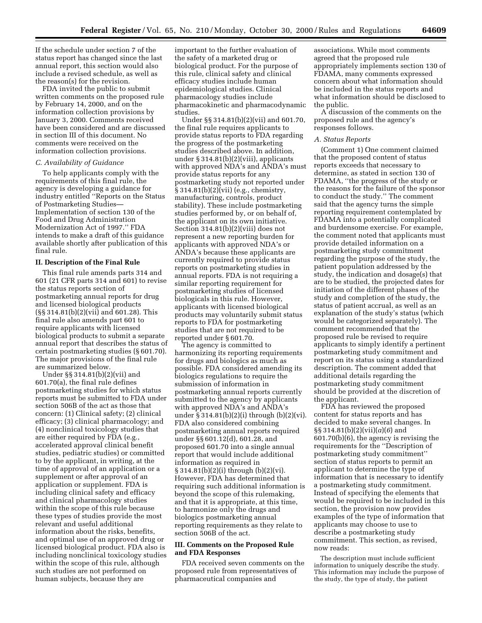If the schedule under section 7 of the status report has changed since the last annual report, this section would also include a revised schedule, as well as the reason(s) for the revision.

FDA invited the public to submit written comments on the proposed rule by February 14, 2000, and on the information collection provisions by January 3, 2000. Comments received have been considered and are discussed in section III of this document. No comments were received on the information collection provisions.

#### *C. Availability of Guidance*

To help applicants comply with the requirements of this final rule, the agency is developing a guidance for industry entitled ''Reports on the Status of Postmarketing Studies— Implementation of section 130 of the Food and Drug Administration Modernization Act of 1997.'' FDA intends to make a draft of this guidance available shortly after publication of this final rule.

### **II. Description of the Final Rule**

This final rule amends parts 314 and 601 (21 CFR parts 314 and 601) to revise the status reports section of postmarketing annual reports for drug and licensed biological products (§§ 314.81(b)(2)(vii) and 601.28). This final rule also amends part 601 to require applicants with licensed biological products to submit a separate annual report that describes the status of certain postmarketing studies (§ 601.70). The major provisions of the final rule are summarized below.

Under §§ 314.81(b)(2)(vii) and 601.70(a), the final rule defines postmarketing studies for which status reports must be submitted to FDA under section 506B of the act as those that concern: (1) Clinical safety; (2) clinical efficacy; (3) clinical pharmacology; and (4) nonclinical toxicology studies that are either required by FDA (e.g., accelerated approval clinical benefit studies, pediatric studies) or committed to by the applicant, in writing, at the time of approval of an application or a supplement or after approval of an application or supplement. FDA is including clinical safety and efficacy and clinical pharmacology studies within the scope of this rule because these types of studies provide the most relevant and useful additional information about the risks, benefits, and optimal use of an approved drug or licensed biological product. FDA also is including nonclinical toxicology studies within the scope of this rule, although such studies are not performed on human subjects, because they are

important to the further evaluation of the safety of a marketed drug or biological product. For the purpose of this rule, clinical safety and clinical efficacy studies include human epidemiological studies. Clinical pharmacology studies include pharmacokinetic and pharmacodynamic studies.

Under §§ 314.81(b)(2)(vii) and 601.70, the final rule requires applicants to provide status reports to FDA regarding the progress of the postmarketing studies described above. In addition, under § 314.81(b)(2)(viii), applicants with approved NDA's and ANDA's must provide status reports for any postmarketing study not reported under § 314.81(b)(2)(vii) (e.g., chemistry, manufacturing, controls, product stability). These include postmarketing studies performed by, or on behalf of, the applicant on its own initiative. Section 314.81(b)(2)(viii) does not represent a new reporting burden for applicants with approved NDA's or ANDA's because these applicants are currently required to provide status reports on postmarketing studies in annual reports. FDA is not requiring a similar reporting requirement for postmarketing studies of licensed biologicals in this rule. However, applicants with licensed biological products may voluntarily submit status reports to FDA for postmarketing studies that are not required to be reported under § 601.70.

The agency is committed to harmonizing its reporting requirements for drugs and biologics as much as possible. FDA considered amending its biologics regulations to require the submission of information in postmarketing annual reports currently submitted to the agency by applicants with approved NDA's and ANDA's under § 314.81(b)(2)(i) through (b)(2)(vi). FDA also considered combining postmarketing annual reports required under §§ 601.12(d), 601.28, and proposed 601.70 into a single annual report that would include additional information as required in § 314.81(b)(2)(i) through (b)(2)(vi). However, FDA has determined that requiring such additional information is beyond the scope of this rulemaking, and that it is appropriate, at this time, to harmonize only the drugs and biologics postmarketing annual reporting requirements as they relate to section 506B of the act.

#### **III. Comments on the Proposed Rule and FDA Responses**

FDA received seven comments on the proposed rule from representatives of pharmaceutical companies and

associations. While most comments agreed that the proposed rule appropriately implements section 130 of FDAMA, many comments expressed concern about what information should be included in the status reports and what information should be disclosed to the public.

A discussion of the comments on the proposed rule and the agency's responses follows.

#### *A. Status Reports*

(Comment 1) One comment claimed that the proposed content of status reports exceeds that necessary to determine, as stated in section 130 of FDAMA, ''the progress of the study or the reasons for the failure of the sponsor to conduct the study.'' The comment said that the agency turns the simple reporting requirement contemplated by FDAMA into a potentially complicated and burdensome exercise. For example, the comment noted that applicants must provide detailed information on a postmarketing study commitment regarding the purpose of the study, the patient population addressed by the study, the indication and dosage(s) that are to be studied, the projected dates for initiation of the different phases of the study and completion of the study, the status of patient accrual, as well as an explanation of the study's status (which would be categorized separately). The comment recommended that the proposed rule be revised to require applicants to simply identify a pertinent postmarketing study commitment and report on its status using a standardized description. The comment added that additional details regarding the postmarketing study commitment should be provided at the discretion of the applicant.

FDA has reviewed the proposed content for status reports and has decided to make several changes. In §§ 314.81(b)(2)(vii)(*a*)(*6*) and 601.70(b)(6), the agency is revising the requirements for the ''Description of postmarketing study commitment'' section of status reports to permit an applicant to determine the type of information that is necessary to identify a postmarketing study commitment. Instead of specifying the elements that would be required to be included in this section, the provision now provides examples of the type of information that applicants may choose to use to describe a postmarketing study commitment. This section, as revised, now reads:

The description must include sufficient information to uniquely describe the study. This information may include the purpose of the study, the type of study, the patient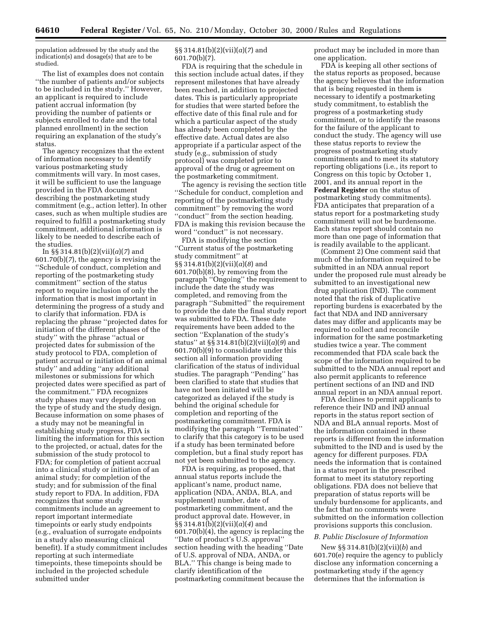population addressed by the study and the indication(s) and dosage(s) that are to be studied.

The list of examples does not contain ''the number of patients and/or subjects to be included in the study.'' However, an applicant is required to include patient accrual information (by providing the number of patients or subjects enrolled to date and the total planned enrollment) in the section requiring an explanation of the study's status.

The agency recognizes that the extent of information necessary to identify various postmarketing study commitments will vary. In most cases, it will be sufficient to use the language provided in the FDA document describing the postmarketing study commitment (e.g., action letter). In other cases, such as when multiple studies are required to fulfill a postmarketing study commitment, additional information is likely to be needed to describe each of the studies.

In §§ 314.81(b)(2)(vii)(*a*)(*7*) and 601.70(b)(*7*), the agency is revising the ''Schedule of conduct, completion and reporting of the postmarketing study commitment'' section of the status report to require inclusion of only the information that is most important in determining the progress of a study and to clarify that information. FDA is replacing the phrase ''projected dates for initiation of the different phases of the study'' with the phrase ''actual or projected dates for submission of the study protocol to FDA, completion of patient accrual or initiation of an animal study'' and adding ''any additional milestones or submissions for which projected dates were specified as part of the commitment.'' FDA recognizes study phases may vary depending on the type of study and the study design. Because information on some phases of a study may not be meaningful in establishing study progress, FDA is limiting the information for this section to the projected, or actual, dates for the submission of the study protocol to FDA; for completion of patient accrual into a clinical study or initiation of an animal study; for completion of the study; and for submission of the final study report to FDA. In addition, FDA recognizes that some study commitments include an agreement to report important intermediate timepoints or early study endpoints (e.g., evaluation of surrogate endpoints in a study also measuring clinical benefit). If a study commitment includes reporting at such intermediate timepoints, these timepoints should be included in the projected schedule submitted under

### §§ 314.81(b)(2)(vii)(*a*)(*7*) and 601.70(b)(7).

FDA is requiring that the schedule in this section include actual dates, if they represent milestones that have already been reached, in addition to projected dates. This is particularly appropriate for studies that were started before the effective date of this final rule and for which a particular aspect of the study has already been completed by the effective date. Actual dates are also appropriate if a particular aspect of the study (e.g., submission of study protocol) was completed prior to approval of the drug or agreement on the postmarketing commitment.

The agency is revising the section title ''Schedule for conduct, completion and reporting of the postmarketing study commitment'' by removing the word "conduct" from the section heading. FDA is making this revision because the word ''conduct'' is not necessary.

FDA is modifying the section ''Current status of the postmarketing study commitment'' at §§ 314.81(b)(2)(vii)(*a*)(*8*) and 601.70(b)(8), by removing from the paragraph ''Ongoing'' the requirement to include the date the study was completed, and removing from the paragraph ''Submitted'' the requirement to provide the date the final study report was submitted to FDA. These date requirements have been added to the section ''Explanation of the study's status'' at §§ 314.81(b)(2)(vii)(*a*)(*9*) and 601.70(b)(9) to consolidate under this section all information providing clarification of the status of individual studies. The paragraph ''Pending'' has been clarified to state that studies that have not been initiated will be categorized as delayed if the study is behind the original schedule for completion and reporting of the postmarketing commitment. FDA is modifying the paragraph ''Terminated'' to clarify that this category is to be used if a study has been terminated before completion, but a final study report has not yet been submitted to the agency.

FDA is requiring, as proposed, that annual status reports include the applicant's name, product name, application (NDA, ANDA, BLA, and supplement) number, date of postmarketing commitment, and the product approval date. However, in §§ 314.81(b)(2)(vii)(*a*)(*4*) and 601.70(b)(4), the agency is replacing the ''Date of product's U.S. approval'' section heading with the heading ''Date of U.S. approval of NDA, ANDA, or BLA.'' This change is being made to clarify identification of the postmarketing commitment because the product may be included in more than one application.

FDA is keeping all other sections of the status reports as proposed, because the agency believes that the information that is being requested in them is necessary to identify a postmarketing study commitment, to establish the progress of a postmarketing study commitment, or to identify the reasons for the failure of the applicant to conduct the study. The agency will use these status reports to review the progress of postmarketing study commitments and to meet its statutory reporting obligations (i.e., its report to Congress on this topic by October 1, 2001, and its annual report in the **Federal Register** on the status of postmarketing study commitments). FDA anticipates that preparation of a status report for a postmarketing study commitment will not be burdensome. Each status report should contain no more than one page of information that is readily available to the applicant.

(Comment 2) One comment said that much of the information required to be submitted in an NDA annual report under the proposed rule must already be submitted to an investigational new drug application (IND). The comment noted that the risk of duplicative reporting burdens is exacerbated by the fact that NDA and IND anniversary dates may differ and applicants may be required to collect and reconcile information for the same postmarketing studies twice a year. The comment recommended that FDA scale back the scope of the information required to be submitted to the NDA annual report and also permit applicants to reference pertinent sections of an IND and IND annual report in an NDA annual report.

FDA declines to permit applicants to reference their IND and IND annual reports in the status report section of NDA and BLA annual reports. Most of the information contained in these reports is different from the information submitted to the IND and is used by the agency for different purposes. FDA needs the information that is contained in a status report in the prescribed format to meet its statutory reporting obligations. FDA does not believe that preparation of status reports will be unduly burdensome for applicants, and the fact that no comments were submitted on the information collection provisions supports this conclusion.

#### *B. Public Disclosure of Information*

New §§ 314.81(b)(2)(vii)(*b*) and 601.70(e) require the agency to publicly disclose any information concerning a postmarketing study if the agency determines that the information is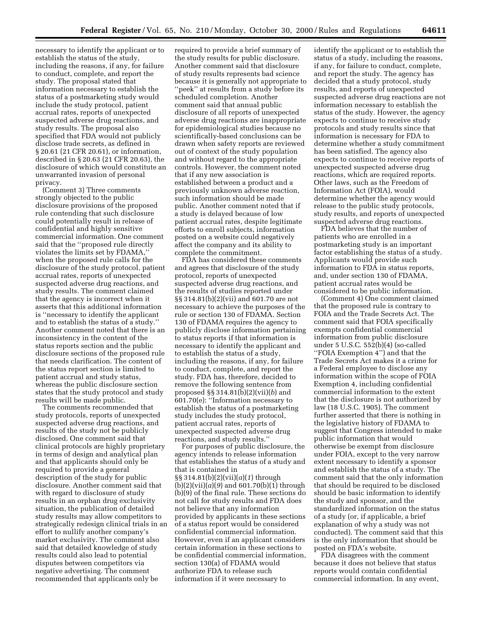necessary to identify the applicant or to establish the status of the study, including the reasons, if any, for failure to conduct, complete, and report the study. The proposal stated that information necessary to establish the status of a postmarketing study would include the study protocol, patient accrual rates, reports of unexpected suspected adverse drug reactions, and study results. The proposal also specified that FDA would not publicly disclose trade secrets, as defined in § 20.61 (21 CFR 20.61), or information, described in § 20.63 (21 CFR 20.63), the disclosure of which would constitute an unwarranted invasion of personal privacy.

(Comment 3) Three comments strongly objected to the public disclosure provisions of the proposed rule contending that such disclosure could potentially result in release of confidential and highly sensitive commercial information. One comment said that the ''proposed rule directly violates the limits set by FDAMA,'' when the proposed rule calls for the disclosure of the study protocol, patient accrual rates, reports of unexpected suspected adverse drug reactions, and study results. The comment claimed that the agency is incorrect when it asserts that this additional information is ''necessary to identify the applicant and to establish the status of a study.'' Another comment noted that there is an inconsistency in the content of the status reports section and the public disclosure sections of the proposed rule that needs clarification. The content of the status report section is limited to patient accrual and study status, whereas the public disclosure section states that the study protocol and study results will be made public.

The comments recommended that study protocols, reports of unexpected suspected adverse drug reactions, and results of the study not be publicly disclosed. One comment said that clinical protocols are highly proprietary in terms of design and analytical plan and that applicants should only be required to provide a general description of the study for public disclosure. Another comment said that with regard to disclosure of study results in an orphan drug exclusivity situation, the publication of detailed study results may allow competitors to strategically redesign clinical trials in an effort to nullify another company's market exclusivity. The comment also said that detailed knowledge of study results could also lead to potential disputes between competitors via negative advertising. The comment recommended that applicants only be

required to provide a brief summary of the study results for public disclosure. Another comment said that disclosure of study results represents bad science because it is generally not appropriate to ''peek'' at results from a study before its scheduled completion. Another comment said that annual public disclosure of all reports of unexpected adverse drug reactions are inappropriate for epidemiological studies because no scientifically-based conclusions can be drawn when safety reports are reviewed out of context of the study population and without regard to the appropriate controls. However, the comment noted that if any new association is established between a product and a previously unknown adverse reaction, such information should be made public. Another comment noted that if a study is delayed because of low patient accrual rates, despite legitimate efforts to enroll subjects, information posted on a website could negatively affect the company and its ability to complete the commitment.

FDA has considered these comments and agrees that disclosure of the study protocol, reports of unexpected suspected adverse drug reactions, and the results of studies reported under §§ 314.81(b)(2)(vii) and 601.70 are not necessary to achieve the purposes of the rule or section 130 of FDAMA. Section 130 of FDAMA requires the agency to publicly disclose information pertaining to status reports if that information is necessary to identify the applicant and to establish the status of a study, including the reasons, if any, for failure to conduct, complete, and report the study. FDA has, therefore, decided to remove the following sentence from proposed §§ 314.81(b)(2)(vii)(*b*) and 601.70(e): ''Information necessary to establish the status of a postmarketing study includes the study protocol, patient accrual rates, reports of unexpected suspected adverse drug reactions, and study results.''

For purposes of public disclosure, the agency intends to release information that establishes the status of a study and that is contained in §§ 314.81(b)(2)(vii)(*a*)(*1*) through (b)(2)(vii)(*a*)(*9*) and 601.70(b)(1) through (b)(9) of the final rule. These sections do not call for study results and FDA does not believe that any information provided by applicants in these sections of a status report would be considered confidential commercial information. However, even if an applicant considers certain information in these sections to be confidential commercial information, section 130(a) of FDAMA would authorize FDA to release such information if it were necessary to

identify the applicant or to establish the status of a study, including the reasons, if any, for failure to conduct, complete, and report the study. The agency has decided that a study protocol, study results, and reports of unexpected suspected adverse drug reactions are not information necessary to establish the status of the study. However, the agency expects to continue to receive study protocols and study results since that information is necessary for FDA to determine whether a study commitment has been satisfied. The agency also expects to continue to receive reports of unexpected suspected adverse drug reactions, which are required reports. Other laws, such as the Freedom of Information Act (FOIA), would determine whether the agency would release to the public study protocols, study results, and reports of unexpected suspected adverse drug reactions.

FDA believes that the number of patients who are enrolled in a postmarketing study is an important factor establishing the status of a study. Applicants would provide such information to FDA in status reports, and, under section 130 of FDAMA, patient accrual rates would be considered to be public information.

(Comment 4) One comment claimed that the proposed rule is contrary to FOIA and the Trade Secrets Act. The comment said that FOIA specifically exempts confidential commercial information from public disclosure under 5 U.S.C. 552(b)(4) (so-called ''FOIA Exemption 4'') and that the Trade Secrets Act makes it a crime for a Federal employee to disclose any information within the scope of FOIA Exemption 4, including confidential commercial information to the extent that the disclosure is not authorized by law (18 U.S.C. 1905). The comment further asserted that there is nothing in the legislative history of FDAMA to suggest that Congress intended to make public information that would otherwise be exempt from disclosure under FOIA, except to the very narrow extent necessary to identify a sponsor and establish the status of a study. The comment said that the only information that should be required to be disclosed should be basic information to identify the study and sponsor, and the standardized information on the status of a study (or, if applicable, a brief explanation of why a study was not conducted). The comment said that this is the only information that should be posted on FDA's website.

FDA disagrees with the comment because it does not believe that status reports would contain confidential commercial information. In any event,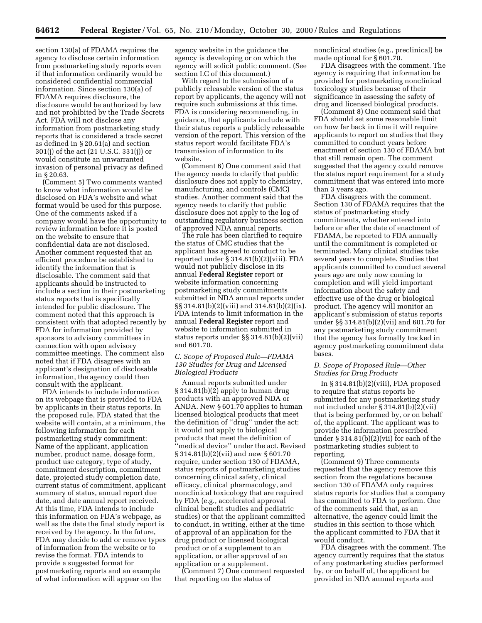section 130(a) of FDAMA requires the agency to disclose certain information from postmarketing study reports even if that information ordinarily would be considered confidential commercial information. Since section 130(a) of FDAMA requires disclosure, the disclosure would be authorized by law and not prohibited by the Trade Secrets Act. FDA will not disclose any information from postmarketing study reports that is considered a trade secret as defined in § 20.61(a) and section 301(j) of the act (21 U.S.C. 331(j)) or would constitute an unwarranted invasion of personal privacy as defined in § 20.63.

(Comment 5) Two comments wanted to know what information would be disclosed on FDA's website and what format would be used for this purpose. One of the comments asked if a company would have the opportunity to review information before it is posted on the website to ensure that confidential data are not disclosed. Another comment requested that an efficient procedure be established to identify the information that is disclosable. The comment said that applicants should be instructed to include a section in their postmarketing status reports that is specifically intended for public disclosure. The comment noted that this approach is consistent with that adopted recently by FDA for information provided by sponsors to advisory committees in connection with open advisory committee meetings. The comment also noted that if FDA disagrees with an applicant's designation of disclosable information, the agency could then consult with the applicant.

FDA intends to include information on its webpage that is provided to FDA by applicants in their status reports. In the proposed rule, FDA stated that the website will contain, at a minimum, the following information for each postmarketing study commitment: Name of the applicant, application number, product name, dosage form, product use category, type of study, commitment description, commitment date, projected study completion date, current status of commitment, applicant summary of status, annual report due date, and date annual report received. At this time, FDA intends to include this information on FDA's webpage, as well as the date the final study report is received by the agency. In the future, FDA may decide to add or remove types of information from the website or to revise the format. FDA intends to provide a suggested format for postmarketing reports and an example of what information will appear on the

agency website in the guidance the agency is developing or on which the agency will solicit public comment. (See section I.C of this document.)

With regard to the submission of a publicly releasable version of the status report by applicants, the agency will not require such submissions at this time. FDA is considering recommending, in guidance, that applicants include with their status reports a publicly releasable version of the report. This version of the status report would facilitate FDA's transmission of information to its website.

(Comment 6) One comment said that the agency needs to clarify that public disclosure does not apply to chemistry, manufacturing, and controls (CMC) studies. Another comment said that the agency needs to clarify that public disclosure does not apply to the log of outstanding regulatory business section of approved NDA annual reports.

The rule has been clarified to require the status of CMC studies that the applicant has agreed to conduct to be reported under § 314.81(b)(2)(viii). FDA would not publicly disclose in its annual **Federal Register** report or website information concerning postmarketing study commitments submitted in NDA annual reports under §§ 314.81(b)(2)(viii) and 314.81(b)(2)(ix). FDA intends to limit information in the annual **Federal Register** report and website to information submitted in status reports under §§ 314.81(b)(2)(vii) and 601.70.

### *C. Scope of Proposed Rule—FDAMA 130 Studies for Drug and Licensed Biological Products*

Annual reports submitted under § 314.81(b)(2) apply to human drug products with an approved NDA or ANDA. New § 601.70 applies to human licensed biological products that meet the definition of ''drug'' under the act; it would not apply to biological products that meet the definition of ''medical device'' under the act. Revised § 314.81(b)(2)(vii) and new § 601.70 require, under section 130 of FDAMA, status reports of postmarketing studies concerning clinical safety, clinical efficacy, clinical pharmacology, and nonclinical toxicology that are required by FDA (e.g., accelerated approval clinical benefit studies and pediatric studies) or that the applicant committed to conduct, in writing, either at the time of approval of an application for the drug product or licensed biological product or of a supplement to an application, or after approval of an application or a supplement.

(Comment 7) One comment requested that reporting on the status of

nonclinical studies (e.g., preclinical) be made optional for § 601.70.

FDA disagrees with the comment. The agency is requiring that information be provided for postmarketing nonclinical toxicology studies because of their significance in assessing the safety of drug and licensed biological products.

(Comment 8) One comment said that FDA should set some reasonable limit on how far back in time it will require applicants to report on studies that they committed to conduct years before enactment of section 130 of FDAMA but that still remain open. The comment suggested that the agency could remove the status report requirement for a study commitment that was entered into more than 3 years ago.

FDA disagrees with the comment. Section 130 of FDAMA requires that the status of postmarketing study commitments, whether entered into before or after the date of enactment of FDAMA, be reported to FDA annually until the commitment is completed or terminated. Many clinical studies take several years to complete. Studies that applicants committed to conduct several years ago are only now coming to completion and will yield important information about the safety and effective use of the drug or biological product. The agency will monitor an applicant's submission of status reports under §§ 314.81(b)(2)(vii) and 601.70 for any postmarketing study commitment that the agency has formally tracked in agency postmarketing commitment data bases.

## *D. Scope of Proposed Rule—Other Studies for Drug Products*

In  $§$  314.81(b)(2)(viii), FDA proposed to require that status reports be submitted for any postmarketing study not included under § 314.81(b)(2)(vii) that is being performed by, or on behalf of, the applicant. The applicant was to provide the information prescribed under § 314.81(b)(2)(vii) for each of the postmarketing studies subject to reporting.

(Comment 9) Three comments requested that the agency remove this section from the regulations because section 130 of FDAMA only requires status reports for studies that a company has committed to FDA to perform. One of the comments said that, as an alternative, the agency could limit the studies in this section to those which the applicant committed to FDA that it would conduct.

FDA disagrees with the comment. The agency currently requires that the status of any postmarketing studies performed by, or on behalf of, the applicant be provided in NDA annual reports and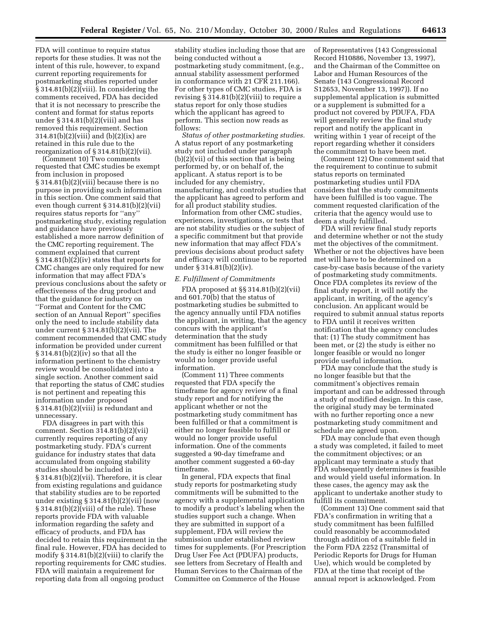FDA will continue to require status reports for these studies. It was not the intent of this rule, however, to expand current reporting requirements for postmarketing studies reported under § 314.81(b)(2)(viii). In considering the comments received, FDA has decided that it is not necessary to prescribe the content and format for status reports under  $\S 314.81(b)(2)(viii)$  and has removed this requirement. Section 314.81(b)(2)(viii) and (b)(2)(ix) are retained in this rule due to the reorganization of  $\S 314.81(b)(2)(vii)$ .

(Comment 10) Two comments requested that CMC studies be exempt from inclusion in proposed § 314.81(b)(2)(viii) because there is no purpose in providing such information in this section. One comment said that even though current § 314.81(b)(2)(vii) requires status reports for ''any'' postmarketing study, existing regulation and guidance have previously established a more narrow definition of the CMC reporting requirement. The comment explained that current § 314.81(b)(2)(iv) states that reports for CMC changes are only required for new information that may affect FDA's previous conclusions about the safety or effectiveness of the drug product and that the guidance for industry on ''Format and Content for the CMC section of an Annual Report'' specifies only the need to include stability data under current § 314.81(b)(2)(vii). The comment recommended that CMC study information be provided under current § 314.81(b)(2)(iv) so that all the information pertinent to the chemistry review would be consolidated into a single section. Another comment said that reporting the status of CMC studies is not pertinent and repeating this information under proposed § 314.81(b)(2)(viii) is redundant and unnecessary.

FDA disagrees in part with this comment. Section 314.81(b)(2)(vii) currently requires reporting of any postmarketing study. FDA's current guidance for industry states that data accumulated from ongoing stability studies should be included in § 314.81(b)(2)(vii). Therefore, it is clear from existing regulations and guidance that stability studies are to be reported under existing § 314.81(b)(2)(vii) (now § 314.81(b)(2)(viii) of the rule). These reports provide FDA with valuable information regarding the safety and efficacy of products, and FDA has decided to retain this requirement in the final rule. However, FDA has decided to modify § 314.81(b)(2)(viii) to clarify the reporting requirements for CMC studies. FDA will maintain a requirement for reporting data from all ongoing product

stability studies including those that are being conducted without a postmarketing study commitment, (e.g., annual stability assessment performed in conformance with 21 CFR 211.166). For other types of CMC studies, FDA is revising § 314.81(b)(2)(viii) to require a status report for only those studies which the applicant has agreed to perform. This section now reads as follows:

*Status of other postmarketing studies.* A status report of any postmarketing study not included under paragraph (b)(2)(vii) of this section that is being performed by, or on behalf of, the applicant. A status report is to be included for any chemistry, manufacturing, and controls studies that the applicant has agreed to perform and for all product stability studies.

Information from other CMC studies, experiences, investigations, or tests that are not stability studies or the subject of a specific commitment but that provide new information that may affect FDA's previous decisions about product safety and efficacy will continue to be reported under § 314.81(b)(2)(iv).

#### *E. Fulfillment of Commitments*

FDA proposed at §§ 314.81(b)(2)(vii) and 601.70(b) that the status of postmarketing studies be submitted to the agency annually until FDA notifies the applicant, in writing, that the agency concurs with the applicant's determination that the study commitment has been fulfilled or that the study is either no longer feasible or would no longer provide useful information.

(Comment 11) Three comments requested that FDA specify the timeframe for agency review of a final study report and for notifying the applicant whether or not the postmarketing study commitment has been fulfilled or that a commitment is either no longer feasible to fulfill or would no longer provide useful information. One of the comments suggested a 90-day timeframe and another comment suggested a 60-day timeframe.

In general, FDA expects that final study reports for postmarketing study commitments will be submitted to the agency with a supplemental application to modify a product's labeling when the studies support such a change. When they are submitted in support of a supplement, FDA will review the submission under established review times for supplements. (For Prescription Drug User Fee Act (PDUFA) products, see letters from Secretary of Health and Human Services to the Chairman of the Committee on Commerce of the House

of Representatives (143 Congressional Record H10886, November 13, 1997), and the Chairman of the Committee on Labor and Human Resources of the Senate (143 Congressional Record S12653, November 13, 1997)). If no supplemental application is submitted or a supplement is submitted for a product not covered by PDUFA, FDA will generally review the final study report and notify the applicant in writing within 1 year of receipt of the report regarding whether it considers the commitment to have been met.

(Comment 12) One comment said that the requirement to continue to submit status reports on terminated postmarketing studies until FDA considers that the study commitments have been fulfilled is too vague. The comment requested clarification of the criteria that the agency would use to deem a study fulfilled.

FDA will review final study reports and determine whether or not the study met the objectives of the commitment. Whether or not the objectives have been met will have to be determined on a case-by-case basis because of the variety of postmarketing study commitments. Once FDA completes its review of the final study report, it will notify the applicant, in writing, of the agency's conclusion. An applicant would be required to submit annual status reports to FDA until it receives written notification that the agency concludes that: (1) The study commitment has been met, or (2) the study is either no longer feasible or would no longer provide useful information.

FDA may conclude that the study is no longer feasible but that the commitment's objectives remain important and can be addressed through a study of modified design. In this case, the original study may be terminated with no further reporting once a new postmarketing study commitment and schedule are agreed upon.

FDA may conclude that even though a study was completed, it failed to meet the commitment objectives; or an applicant may terminate a study that FDA subsequently determines is feasible and would yield useful information. In these cases, the agency may ask the applicant to undertake another study to fulfill its commitment.

(Comment 13) One comment said that FDA's confirmation in writing that a study commitment has been fulfilled could reasonably be accommodated through addition of a suitable field in the Form FDA 2252 (Transmittal of Periodic Reports for Drugs for Human Use), which would be completed by FDA at the time that receipt of the annual report is acknowledged. From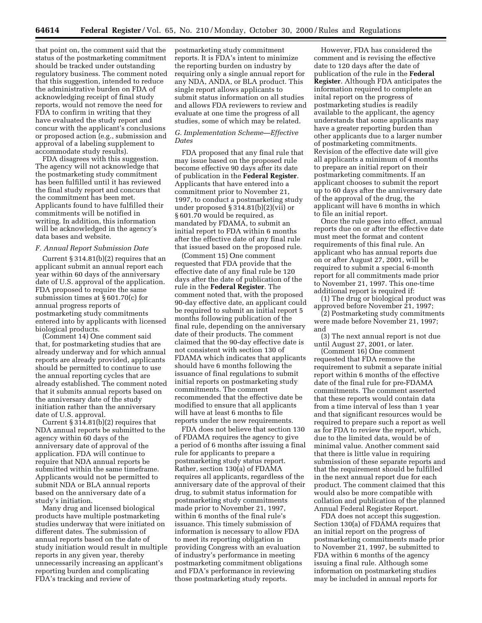that point on, the comment said that the status of the postmarketing commitment should be tracked under outstanding regulatory business. The comment noted that this suggestion, intended to reduce the administrative burden on FDA of acknowledging receipt of final study reports, would not remove the need for FDA to confirm in writing that they have evaluated the study report and concur with the applicant's conclusions or proposed action (e.g., submission and approval of a labeling supplement to accommodate study results).

FDA disagrees with this suggestion. The agency will not acknowledge that the postmarketing study commitment has been fulfilled until it has reviewed the final study report and concurs that the commitment has been met. Applicants found to have fulfilled their commitments will be notified in writing. In addition, this information will be acknowledged in the agency's data bases and website.

#### *F. Annual Report Submission Date*

Current § 314.81(b)(2) requires that an applicant submit an annual report each year within 60 days of the anniversary date of U.S. approval of the application. FDA proposed to require the same submission times at § 601.70(c) for annual progress reports of postmarketing study commitments entered into by applicants with licensed biological products.

(Comment 14) One comment said that, for postmarketing studies that are already underway and for which annual reports are already provided, applicants should be permitted to continue to use the annual reporting cycles that are already established. The comment noted that it submits annual reports based on the anniversary date of the study initiation rather than the anniversary date of U.S. approval.

Current  $\S 3\overline{14}.81(b)(2)$  requires that NDA annual reports be submitted to the agency within 60 days of the anniversary date of approval of the application. FDA will continue to require that NDA annual reports be submitted within the same timeframe. Applicants would not be permitted to submit NDA or BLA annual reports based on the anniversary date of a study's initiation.

Many drug and licensed biological products have multiple postmarketing studies underway that were initiated on different dates. The submission of annual reports based on the date of study initiation would result in multiple reports in any given year, thereby unnecessarily increasing an applicant's reporting burden and complicating FDA's tracking and review of

postmarketing study commitment reports. It is FDA's intent to minimize the reporting burden on industry by requiring only a single annual report for any NDA, ANDA, or BLA product. This single report allows applicants to submit status information on all studies and allows FDA reviewers to review and evaluate at one time the progress of all studies, some of which may be related.

## *G. Implementation Scheme—Effective Dates*

FDA proposed that any final rule that may issue based on the proposed rule become effective 90 days after its date of publication in the **Federal Register**. Applicants that have entered into a commitment prior to November 21, 1997, to conduct a postmarketing study under proposed § 314.81(b)(2)(vii) or § 601.70 would be required, as mandated by FDAMA, to submit an initial report to FDA within 6 months after the effective date of any final rule that issued based on the proposed rule.

(Comment 15) One comment requested that FDA provide that the effective date of any final rule be 120 days after the date of publication of the rule in the **Federal Register**. The comment noted that, with the proposed 90-day effective date, an applicant could be required to submit an initial report 5 months following publication of the final rule, depending on the anniversary date of their products. The comment claimed that the 90-day effective date is not consistent with section 130 of FDAMA which indicates that applicants should have 6 months following the issuance of final regulations to submit initial reports on postmarketing study commitments. The comment recommended that the effective date be modified to ensure that all applicants will have at least 6 months to file reports under the new requirements.

FDA does not believe that section 130 of FDAMA requires the agency to give a period of 6 months after issuing a final rule for applicants to prepare a postmarketing study status report. Rather, section 130(a) of FDAMA requires all applicants, regardless of the anniversary date of the approval of their drug, to submit status information for postmarketing study commitments made prior to November 21, 1997, within 6 months of the final rule's issuance. This timely submission of information is necessary to allow FDA to meet its reporting obligation in providing Congress with an evaluation of industry's performance in meeting postmarketing commitment obligations and FDA's performance in reviewing those postmarketing study reports.

However, FDA has considered the comment and is revising the effective date to 120 days after the date of publication of the rule in the **Federal Register**. Although FDA anticipates the information required to complete an inital report on the progress of postmarketing studies is readily available to the applicant, the agency understands that some applicants may have a greater reporting burden than other applicants due to a larger number of postmarketing commitments. Revision of the effective date will give all applicants a minimum of 4 months to prepare an initial report on their postmarketing commitments. If an applicant chooses to submit the report up to 60 days after the anniversary date of the approval of the drug, the applicant will have 6 months in which to file an initial report.

Once the rule goes into effect, annual reports due on or after the effective date must meet the format and content requirements of this final rule. An applicant who has annual reports due on or after August 27, 2001, will be required to submit a special 6-month report for all commitments made prior to November 21, 1997. This one-time additional report is required if:

(1) The drug or biological product was approved before November 21, 1997;

(2) Postmarketing study commitments were made before November 21, 1997; and

(3) The next annual report is not due until August 27, 2001, or later.

(Comment 16) One comment requested that FDA remove the requirement to submit a separate initial report within 6 months of the effective date of the final rule for pre-FDAMA commitments. The comment asserted that these reports would contain data from a time interval of less than 1 year and that significant resources would be required to prepare such a report as well as for FDA to review the report, which, due to the limited data, would be of minimal value. Another comment said that there is little value in requiring submission of these separate reports and that the requirement should be fulfilled in the next annual report due for each product. The comment claimed that this would also be more compatible with collation and publication of the planned Annual Federal Register Report.

FDA does not accept this suggestion. Section 130(a) of FDAMA requires that an initial report on the progress of postmarketing commitments made prior to November 21, 1997, be submitted to FDA within 6 months of the agency issuing a final rule. Although some information on postmarketing studies may be included in annual reports for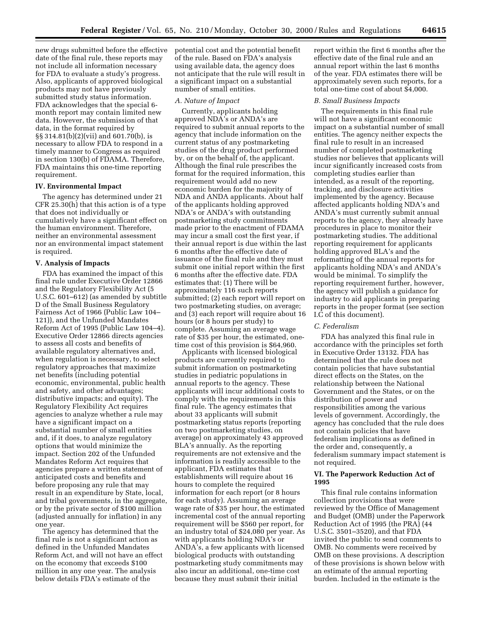new drugs submitted before the effective date of the final rule, these reports may not include all information necessary for FDA to evaluate a study's progress. Also, applicants of approved biological products may not have previously submitted study status information. FDA acknowledges that the special 6 month report may contain limited new data. However, the submission of that data, in the format required by §§ 314.81(b)(2)(vii) and 601.70(b), is necessary to allow FDA to respond in a timely manner to Congress as required in section 130(b) of FDAMA. Therefore, FDA maintains this one-time reporting requirement.

### **IV. Environmental Impact**

The agency has determined under 21 CFR 25.30(h) that this action is of a type that does not individually or cumulatively have a significant effect on the human environment. Therefore, neither an environmental assessment nor an environmental impact statement is required.

### **V. Analysis of Impacts**

FDA has examined the impact of this final rule under Executive Order 12866 and the Regulatory Flexibility Act (5 U.S.C. 601–612) (as amended by subtitle D of the Small Business Regulatory Fairness Act of 1966 (Public Law 104– 121)), and the Unfunded Mandates Reform Act of 1995 (Public Law 104–4). Executive Order 12866 directs agencies to assess all costs and benefits of available regulatory alternatives and, when regulation is necessary, to select regulatory approaches that maximize net benefits (including potential economic, environmental, public health and safety, and other advantages; distributive impacts; and equity). The Regulatory Flexibility Act requires agencies to analyze whether a rule may have a significant impact on a substantial number of small entities and, if it does, to analyze regulatory options that would minimize the impact. Section 202 of the Unfunded Mandates Reform Act requires that agencies prepare a written statement of anticipated costs and benefits and before proposing any rule that may result in an expenditure by State, local, and tribal governments, in the aggregate, or by the private sector of \$100 million (adjusted annually for inflation) in any one year.

The agency has determined that the final rule is not a significant action as defined in the Unfunded Mandates Reform Act, and will not have an effect on the economy that exceeds \$100 million in any one year. The analysis below details FDA's estimate of the

potential cost and the potential benefit of the rule. Based on FDA's analysis using available data, the agency does not anticipate that the rule will result in a significant impact on a substantial number of small entities.

#### *A. Nature of Impact*

Currently, applicants holding approved NDA's or ANDA's are required to submit annual reports to the agency that include information on the current status of any postmarketing studies of the drug product performed by, or on the behalf of, the applicant. Although the final rule prescribes the format for the required information, this requirement would add no new economic burden for the majority of NDA and ANDA applicants. About half of the applicants holding approved NDA's or ANDA's with outstanding postmarketing study commitments made prior to the enactment of FDAMA may incur a small cost the first year, if their annual report is due within the last 6 months after the effective date of issuance of the final rule and they must submit one initial report within the first 6 months after the effective date. FDA estimates that: (1) There will be approximately 116 such reports submitted; (2) each report will report on two postmarketing studies, on average; and (3) each report will require about 16 hours (or 8 hours per study) to complete. Assuming an average wage rate of \$35 per hour, the estimated, onetime cost of this provision is \$64,960.

Applicants with licensed biological products are currently required to submit information on postmarketing studies in pediatric populations in annual reports to the agency. These applicants will incur additional costs to comply with the requirements in this final rule. The agency estimates that about 33 applicants will submit postmarketing status reports (reporting on two postmarketing studies, on average) on approximately 43 approved BLA's annually. As the reporting requirements are not extensive and the information is readily accessible to the applicant, FDA estimates that establishments will require about 16 hours to complete the required information for each report (or 8 hours for each study). Assuming an average wage rate of \$35 per hour, the estimated incremental cost of the annual reporting requirement will be \$560 per report, for an industry total of \$24,080 per year. As with applicants holding NDA's or ANDA's, a few applicants with licensed biological products with outstanding postmarketing study commitments may also incur an additional, one-time cost because they must submit their initial

report within the first 6 months after the effective date of the final rule and an annual report within the last 6 months of the year. FDA estimates there will be approximately seven such reports, for a total one-time cost of about \$4,000.

#### *B. Small Business Impacts*

The requirements in this final rule will not have a significant economic impact on a substantial number of small entities. The agency neither expects the final rule to result in an increased number of completed postmarketing studies nor believes that applicants will incur significantly increased costs from completing studies earlier than intended, as a result of the reporting, tracking, and disclosure activities implemented by the agency. Because affected applicants holding NDA's and ANDA's must currently submit annual reports to the agency, they already have procedures in place to monitor their postmarketing studies. The additional reporting requirement for applicants holding approved BLA's and the reformatting of the annual reports for applicants holding NDA's and ANDA's would be minimal. To simplify the reporting requirement further, however, the agency will publish a guidance for industry to aid applicants in preparing reports in the proper format (see section I.C of this document).

#### *C. Federalism*

FDA has analyzed this final rule in accordance with the principles set forth in Executive Order 13132. FDA has determined that the rule does not contain policies that have substantial direct effects on the States, on the relationship between the National Government and the States, or on the distribution of power and responsibilities among the various levels of government. Accordingly, the agency has concluded that the rule does not contain policies that have federalism implications as defined in the order and, consequently, a federalism summary impact statement is not required.

### **VI. The Paperwork Reduction Act of 1995**

This final rule contains information collection provisions that were reviewed by the Office of Management and Budget (OMB) under the Paperwork Reduction Act of 1995 (the PRA) (44 U.S.C. 3501–3520), and that FDA invited the public to send comments to OMB. No comments were received by OMB on these provisions. A description of these provisions is shown below with an estimate of the annual reporting burden. Included in the estimate is the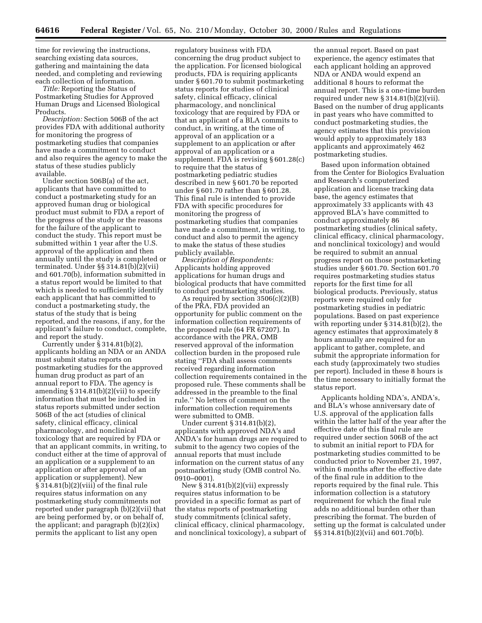time for reviewing the instructions, searching existing data sources, gathering and maintaining the data needed, and completing and reviewing each collection of information.

*Title:* Reporting the Status of Postmarketing Studies for Approved Human Drugs and Licensed Biological Products.

*Description:* Section 506B of the act provides FDA with additional authority for monitoring the progress of postmarketing studies that companies have made a commitment to conduct and also requires the agency to make the status of these studies publicly available.

Under section 506B(a) of the act, applicants that have committed to conduct a postmarketing study for an approved human drug or biological product must submit to FDA a report of the progress of the study or the reasons for the failure of the applicant to conduct the study. This report must be submitted within 1 year after the U.S. approval of the application and then annually until the study is completed or terminated. Under §§ 314.81(b)(2)(vii) and 601.70(b), information submitted in a status report would be limited to that which is needed to sufficiently identify each applicant that has committed to conduct a postmarketing study, the status of the study that is being reported, and the reasons, if any, for the applicant's failure to conduct, complete, and report the study.

Currently under § 314.81(b)(2), applicants holding an NDA or an ANDA must submit status reports on postmarketing studies for the approved human drug product as part of an annual report to FDA. The agency is amending § 314.81(b)(2)(vii) to specify information that must be included in status reports submitted under section 506B of the act (studies of clinical safety, clinical efficacy, clinical pharmacology, and nonclinical toxicology that are required by FDA or that an applicant commits, in writing, to conduct either at the time of approval of an application or a supplement to an application or after approval of an application or supplement). New § 314.81(b)(2)(viii) of the final rule requires status information on any postmarketing study commitments not reported under paragraph (b)(2)(vii) that are being performed by, or on behalf of, the applicant; and paragraph (b)(2)(ix) permits the applicant to list any open

regulatory business with FDA concerning the drug product subject to the application. For licensed biological products, FDA is requiring applicants under § 601.70 to submit postmarketing status reports for studies of clinical safety, clinical efficacy, clinical pharmacology, and nonclinical toxicology that are required by FDA or that an applicant of a BLA commits to conduct, in writing, at the time of approval of an application or a supplement to an application or after approval of an application or a supplement. FDA is revising § 601.28(c) to require that the status of postmarketing pediatric studies described in new § 601.70 be reported under § 601.70 rather than § 601.28. This final rule is intended to provide FDA with specific procedures for monitoring the progress of postmarketing studies that companies have made a commitment, in writing, to conduct and also to permit the agency to make the status of these studies publicly available.

*Description of Respondents:* Applicants holding approved applications for human drugs and biological products that have committed to conduct postmarketing studies.

As required by section 3506(c)(2)(B) of the PRA, FDA provided an opportunity for public comment on the information collection requirements of the proposed rule (64 FR 67207). In accordance with the PRA, OMB reserved approval of the information collection burden in the proposed rule stating ''FDA shall assess comments received regarding information collection requirements contained in the proposed rule. These comments shall be addressed in the preamble to the final rule.'' No letters of comment on the information collection requirements were submitted to OMB.

Under current § 314.81(b)(2), applicants with approved NDA's and ANDA's for human drugs are required to submit to the agency two copies of the annual reports that must include information on the current status of any postmarketing study (OMB control No. 0910–0001).

New § 314.81(b)(2)(vii) expressly requires status information to be provided in a specific format as part of the status reports of postmarketing study commitments (clinical safety, clinical efficacy, clinical pharmacology, and nonclinical toxicology), a subpart of

the annual report. Based on past experience, the agency estimates that each applicant holding an approved NDA or ANDA would expend an additional 8 hours to reformat the annual report. This is a one-time burden required under new § 314.81(b)(2)(vii). Based on the number of drug applicants in past years who have committed to conduct postmarketing studies, the agency estimates that this provision would apply to approximately 183 applicants and approximately 462 postmarketing studies.

Based upon information obtained from the Center for Biologics Evaluation and Research's computerized application and license tracking data base, the agency estimates that approximately 33 applicants with 43 approved BLA's have committed to conduct approximately 86 postmarketing studies (clinical safety, clinical efficacy, clinical pharmacology, and nonclinical toxicology) and would be required to submit an annual progress report on those postmarketing studies under § 601.70. Section 601.70 requires postmarketing studies status reports for the first time for all biological products. Previously, status reports were required only for postmarketing studies in pediatric populations. Based on past experience with reporting under § 314.81(b)(2), the agency estimates that approximately 8 hours annually are required for an applicant to gather, complete, and submit the appropriate information for each study (approximately two studies per report). Included in these 8 hours is the time necessary to initially format the status report.

Applicants holding NDA's, ANDA's, and BLA's whose anniversary date of U.S. approval of the application falls within the latter half of the year after the effective date of this final rule are required under section 506B of the act to submit an initial report to FDA for postmarketing studies committed to be conducted prior to November 21, 1997, within 6 months after the effective date of the final rule in addition to the reports required by the final rule. This information collection is a statutory requirement for which the final rule adds no additional burden other than prescribing the format. The burden of setting up the format is calculated under §§ 314.81(b)(2)(vii) and 601.70(b).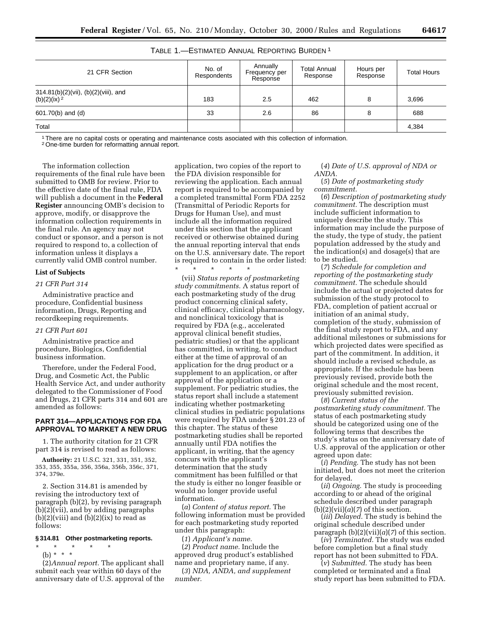| TABLE 1.-ESTIMATED ANNUAL REPORTING BURDEN <sup>1</sup> |  |
|---------------------------------------------------------|--|
|---------------------------------------------------------|--|

| 21 CFR Section                                                 | No. of<br>Respondents | Annually<br>Frequency per<br>Response | <b>Total Annual</b><br>Response | Hours per<br>Response | <b>Total Hours</b> |  |  |  |
|----------------------------------------------------------------|-----------------------|---------------------------------------|---------------------------------|-----------------------|--------------------|--|--|--|
| 314.81(b)(2)(vii), (b)(2)(viii), and<br>(b)(2)(ix) $2^{\circ}$ | 183                   | 2.5                                   | 462                             | 8                     | 3,696              |  |  |  |
| 601.70(b) and (d)                                              | 33                    | 2.6                                   | 86                              | 8                     | 688                |  |  |  |
| Total                                                          |                       |                                       |                                 |                       | 4,384              |  |  |  |

1There are no capital costs or operating and maintenance costs asociated with this collection of information.

2One-time burden for reformatting annual report.

The information collection requirements of the final rule have been submitted to OMB for review. Prior to the effective date of the final rule, FDA will publish a document in the **Federal Register** announcing OMB's decision to approve, modify, or disapprove the information collection requirements in the final rule. An agency may not conduct or sponsor, and a person is not required to respond to, a collection of information unless it displays a currently valid OMB control number.

#### **List of Subjects**

#### *21 CFR Part 314*

Administrative practice and procedure, Confidential business information, Drugs, Reporting and recordkeeping requirements.

#### *21 CFR Part 601*

Administrative practice and procedure, Biologics, Confidential business information.

Therefore, under the Federal Food, Drug, and Cosmetic Act, the Public Health Service Act, and under authority delegated to the Commissioner of Food and Drugs, 21 CFR parts 314 and 601 are amended as follows:

### **PART 314—APPLICATIONS FOR FDA APPROVAL TO MARKET A NEW DRUG**

1. The authority citation for 21 CFR part 314 is revised to read as follows:

**Authority:** 21 U.S.C. 321, 331, 351, 352, 353, 355, 355a, 356, 356a, 356b, 356c, 371, 374, 379e.

2. Section 314.81 is amended by revising the introductory text of paragraph (b)(2), by revising paragraph (b)(2)(vii), and by adding paragraphs  $(b)(2)(viii)$  and  $(b)(2)(ix)$  to read as follows:

# **§ 314.81 Other postmarketing reports.**

\* \* \* \* \* (b) \* \* \*

(2)*Annual report.* The applicant shall submit each year within 60 days of the anniversary date of U.S. approval of the application, two copies of the report to the FDA division responsible for reviewing the application. Each annual report is required to be accompanied by a completed transmittal Form FDA 2252 (Transmittal of Periodic Reports for Drugs for Human Use), and must include all the information required under this section that the applicant received or otherwise obtained during the annual reporting interval that ends on the U.S. anniversary date. The report is required to contain in the order listed: \* \* \* \* \*

(vii) *Status reports of postmarketing study commitments.* A status report of each postmarketing study of the drug product concerning clinical safety, clinical efficacy, clinical pharmacology, and nonclinical toxicology that is required by FDA (e.g., accelerated approval clinical benefit studies, pediatric studies) or that the applicant has committed, in writing, to conduct either at the time of approval of an application for the drug product or a supplement to an application, or after approval of the application or a supplement. For pediatric studies, the status report shall include a statement indicating whether postmarketing clinical studies in pediatric populations were required by FDA under § 201.23 of this chapter. The status of these postmarketing studies shall be reported annually until FDA notifies the applicant, in writing, that the agency concurs with the applicant's determination that the study commitment has been fulfilled or that the study is either no longer feasible or would no longer provide useful information.

(*a*) *Content of status report.* The following information must be provided for each postmarketing study reported under this paragraph:

(*1*) *Applicant's name.*

(*2*) *Product name.* Include the approved drug product's established name and proprietary name, if any.

(*3*) *NDA, ANDA, and supplement number.*

(*4*) *Date of U.S. approval of NDA or ANDA.*

(*5*) *Date of postmarketing study commitment.*

(*6*) *Description of postmarketing study commitment.* The description must include sufficient information to uniquely describe the study. This information may include the purpose of the study, the type of study, the patient population addressed by the study and the indication(s) and dosage(s) that are to be studied.

(*7*) *Schedule for completion and reporting of the postmarketing study commitment.* The schedule should include the actual or projected dates for submission of the study protocol to FDA, completion of patient accrual or initiation of an animal study, completion of the study, submission of the final study report to FDA, and any additional milestones or submissions for which projected dates were specified as part of the commitment. In addition, it should include a revised schedule, as appropriate. If the schedule has been previously revised, provide both the original schedule and the most recent, previously submitted revision.

(*8*) *Current status of the postmarketing study commitment.* The status of each postmarketing study should be categorized using one of the following terms that describes the study's status on the anniversary date of U.S. approval of the application or other agreed upon date:

(*i*) *Pending.* The study has not been initiated, but does not meet the criterion for delayed.

(*ii*) *Ongoing.* The study is proceeding according to or ahead of the original schedule described under paragraph  $(b)(2)(vii)(a)(7)$  of this section.

(*iii*) *Delayed.* The study is behind the original schedule described under paragraph  $(b)(2)(vii)(a)(7)$  of this section.

(*iv*) *Terminated.* The study was ended before completion but a final study report has not been submitted to FDA.

(*v*) *Submitted.* The study has been completed or terminated and a final study report has been submitted to FDA.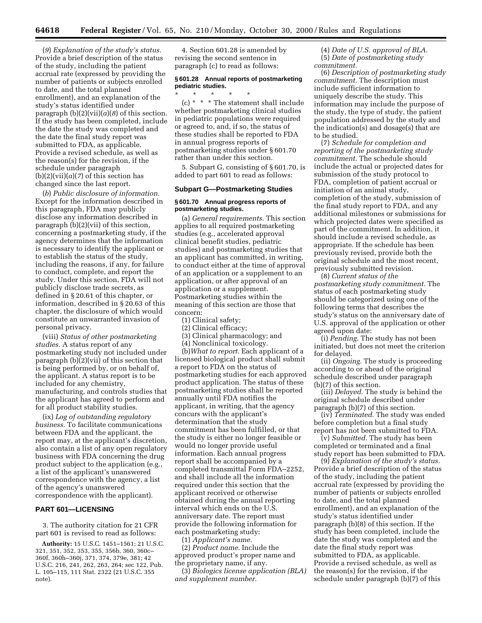(*9*) *Explanation of the study's status.* Provide a brief description of the status of the study, including the patient accrual rate (expressed by providing the number of patients or subjects enrolled to date, and the total planned enrollment), and an explanation of the study's status identified under paragraph  $(b)(2)(vii)(a)(8)$  of this section. If the study has been completed, include the date the study was completed and the date the final study report was submitted to FDA, as applicable. Provide a revised schedule, as well as the reason(s) for the revision, if the schedule under paragraph  $(b)(2)(vii)(a)(7)$  of this section has changed since the last report.

(*b*) *Public disclosure of information.* Except for the information described in this paragraph, FDA may publicly disclose any information described in paragraph (b)(2)(vii) of this section, concerning a postmarketing study, if the agency determines that the information is necessary to identify the applicant or to establish the status of the study, including the reasons, if any, for failure to conduct, complete, and report the study. Under this section, FDA will not publicly disclose trade secrets, as defined in § 20.61 of this chapter, or information, described in § 20.63 of this chapter, the disclosure of which would constitute an unwarranted invasion of personal privacy.

(viii) *Status of other postmarketing studies.* A status report of any postmarketing study not included under paragraph (b)(2)(vii) of this section that is being performed by, or on behalf of, the applicant. A status report is to be included for any chemistry, manufacturing, and controls studies that the applicant has agreed to perform and for all product stability studies.

(ix) *Log of outstanding regulatory business.* To facilitate communications between FDA and the applicant, the report may, at the applicant's discretion, also contain a list of any open regulatory business with FDA concerning the drug product subject to the application (e.g., a list of the applicant's unanswered correspondence with the agency, a list of the agency's unanswered correspondence with the applicant).

## **PART 601—LICENSING**

3. The authority citation for 21 CFR part 601 is revised to read as follows:

**Authority:** 15 U.S.C. 1451–1561; 21 U.S.C. 321, 351, 352, 353, 355, 356b, 360, 360c– 360f, 360h–360j, 371, 374, 379e, 381; 42 U.S.C. 216, 241, 262, 263, 264; sec 122, Pub. L. 105–115, 111 Stat. 2322 (21 U.S.C. 355 note).

4. Section 601.28 is amended by revising the second sentence in paragraph (c) to read as follows:

## **§ 601.28 Annual reports of postmarketing pediatric studies.**

\* \* \* \* \* (c) \* \* \* The statement shall include whether postmarketing clinical studies in pediatric populations were required or agreed to, and, if so, the status of these studies shall be reported to FDA in annual progress reports of postmarketing studies under § 601.70 rather than under this section.

5. Subpart G, consisting of § 601.70, is added to part 601 to read as follows:

## **Subpart G—Postmarketing Studies**

## **§ 601.70 Annual progress reports of postmarketing studies.**

(a) *General requirements.* This section applies to all required postmarketing studies (e.g., accelerated approval clinical benefit studies, pediatric studies) and postmarketing studies that an applicant has committed, in writing, to conduct either at the time of approval of an application or a supplement to an application, or after approval of an application or a supplement. Postmarketing studies within the meaning of this section are those that concern:

- (1) Clinical safety;
- (2) Clinical efficacy;
- (3) Clinical pharmacology; and
- (4) Nonclinical toxicology.

(b)*What to report.* Each applicant of a licensed biological product shall submit a report to FDA on the status of postmarketing studies for each approved product application. The status of these postmarketing studies shall be reported annually until FDA notifies the applicant, in writing, that the agency concurs with the applicant's determination that the study commitment has been fulfilled, or that the study is either no longer feasible or would no longer provide useful information. Each annual progress report shall be accompanied by a completed transmittal Form FDA–2252, and shall include all the information required under this section that the applicant received or otherwise obtained during the annual reporting interval which ends on the U.S. anniversary date. The report must provide the following information for each postmarketing study:

(1) *Applicant's name.*

(2) *Product name.* Include the approved product's proper name and the proprietary name, if any.

(3) *Biologics license application (BLA) and supplement number.*

(4) *Date of U.S. approval of BLA.* (5) *Date of postmarketing study commitment.*

(6) *Description of postmarketing study commitment.* The description must include sufficient information to uniquely describe the study. This information may include the purpose of the study, the type of study, the patient population addressed by the study and the indication(s) and dosage(s) that are to be studied.

(7) *Schedule for completion and reporting of the postmarketing study commitment.* The schedule should include the actual or projected dates for submission of the study protocol to FDA, completion of patient accrual or initiation of an animal study, completion of the study, submission of the final study report to FDA, and any additional milestones or submissions for which projected dates were specified as part of the commitment. In addition, it should include a revised schedule, as appropriate. If the schedule has been previously revised, provide both the original schedule and the most recent, previously submitted revision.

(8) *Current status of the postmarketing study commitment.* The status of each postmarketing study should be categorized using one of the following terms that describes the study's status on the anniversary date of U.S. approval of the application or other agreed upon date:

(i) *Pending.* The study has not been initiated, but does not meet the criterion for delayed.

(ii) *Ongoing.* The study is proceeding according to or ahead of the original schedule described under paragraph (b)(7) of this section.

(iii) *Delayed.* The study is behind the original schedule described under paragraph (b)(7) of this section.

(iv) *Terminated.* The study was ended before completion but a final study report has not been submitted to FDA.

(v) *Submitted.* The study has been completed or terminated and a final study report has been submitted to FDA.

(9) *Explanation of the study's status.* Provide a brief description of the status of the study, including the patient accrual rate (expressed by providing the number of patients or subjects enrolled to date, and the total planned enrollment), and an explanation of the study's status identified under paragraph (b)(8) of this section. If the study has been completed, include the date the study was completed and the date the final study report was submitted to FDA, as applicable. Provide a revised schedule, as well as the reason(s) for the revision, if the schedule under paragraph (b)(7) of this